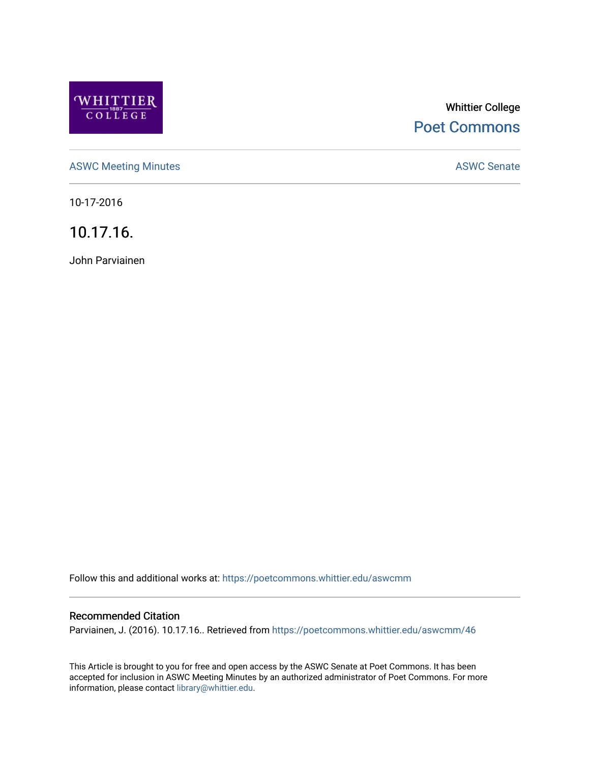

# Whittier College [Poet Commons](https://poetcommons.whittier.edu/)

[ASWC Meeting Minutes](https://poetcommons.whittier.edu/aswcmm) **ASWC Senate** 

10-17-2016

10.17.16.

John Parviainen

Follow this and additional works at: [https://poetcommons.whittier.edu/aswcmm](https://poetcommons.whittier.edu/aswcmm?utm_source=poetcommons.whittier.edu%2Faswcmm%2F46&utm_medium=PDF&utm_campaign=PDFCoverPages)

#### Recommended Citation

Parviainen, J. (2016). 10.17.16.. Retrieved from [https://poetcommons.whittier.edu/aswcmm/46](https://poetcommons.whittier.edu/aswcmm/46?utm_source=poetcommons.whittier.edu%2Faswcmm%2F46&utm_medium=PDF&utm_campaign=PDFCoverPages)

This Article is brought to you for free and open access by the ASWC Senate at Poet Commons. It has been accepted for inclusion in ASWC Meeting Minutes by an authorized administrator of Poet Commons. For more information, please contact [library@whittier.edu.](mailto:library@whittier.edu)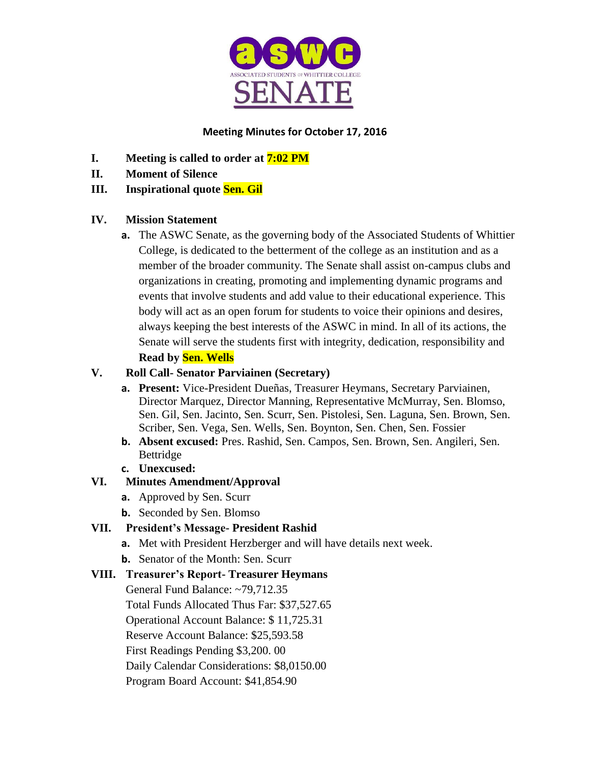

### **Meeting Minutes for October 17, 2016**

- **I. Meeting is called to order at 7:02 PM**
- **II. Moment of Silence**

## **III. Inspirational quote Sen. Gil**

### **IV. Mission Statement**

**a.** The ASWC Senate, as the governing body of the Associated Students of Whittier College, is dedicated to the betterment of the college as an institution and as a member of the broader community. The Senate shall assist on-campus clubs and organizations in creating, promoting and implementing dynamic programs and events that involve students and add value to their educational experience. This body will act as an open forum for students to voice their opinions and desires, always keeping the best interests of the ASWC in mind. In all of its actions, the Senate will serve the students first with integrity, dedication, responsibility and **Read by Sen. Wells**

### **V. Roll Call- Senator Parviainen (Secretary)**

- **a. Present:** Vice-President Dueñas, Treasurer Heymans, Secretary Parviainen, Director Marquez, Director Manning, Representative McMurray, Sen. Blomso, Sen. Gil, Sen. Jacinto, Sen. Scurr, Sen. Pistolesi, Sen. Laguna, Sen. Brown, Sen. Scriber, Sen. Vega, Sen. Wells, Sen. Boynton, Sen. Chen, Sen. Fossier
- **b. Absent excused:** Pres. Rashid, Sen. Campos, Sen. Brown, Sen. Angileri, Sen. Bettridge
- **c. Unexcused:**

# **VI. Minutes Amendment/Approval**

- **a.** Approved by Sen. Scurr
- **b.** Seconded by Sen. Blomso

# **VII. President's Message- President Rashid**

- **a.** Met with President Herzberger and will have details next week.
- **b.** Senator of the Month: Sen. Scurr

# **VIII. Treasurer's Report- Treasurer Heymans**

General Fund Balance: ~79,712.35 Total Funds Allocated Thus Far: \$37,527.65 Operational Account Balance: \$ 11,725.31 Reserve Account Balance: \$25,593.58 First Readings Pending \$3,200. 00 Daily Calendar Considerations: \$8,0150.00 Program Board Account: \$41,854.90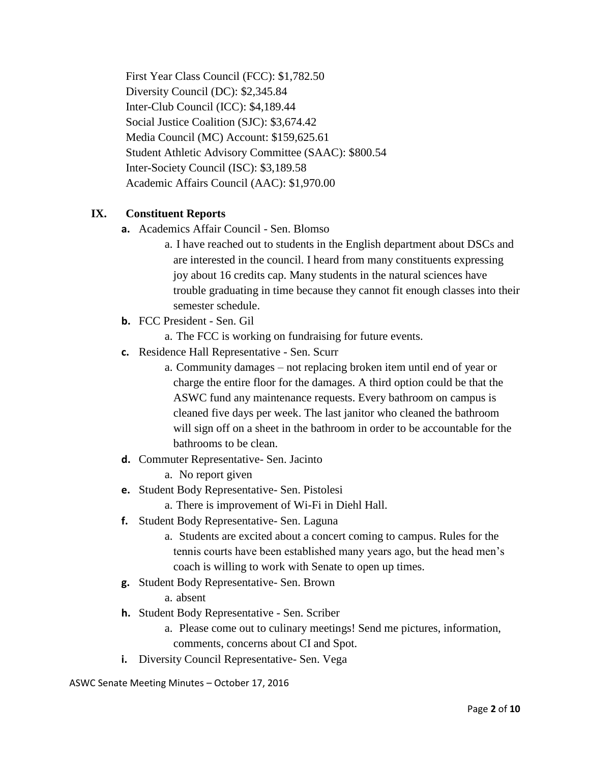First Year Class Council (FCC): \$1,782.50 Diversity Council (DC): \$2,345.84 Inter-Club Council (ICC): \$4,189.44 Social Justice Coalition (SJC): \$3,674.42 Media Council (MC) Account: \$159,625.61 Student Athletic Advisory Committee (SAAC): \$800.54 Inter-Society Council (ISC): \$3,189.58 Academic Affairs Council (AAC): \$1,970.00

#### **IX. Constituent Reports**

- **a.** Academics Affair Council Sen. Blomso
	- a. I have reached out to students in the English department about DSCs and are interested in the council. I heard from many constituents expressing joy about 16 credits cap. Many students in the natural sciences have trouble graduating in time because they cannot fit enough classes into their semester schedule.
- **b.** FCC President Sen. Gil
	- a. The FCC is working on fundraising for future events.
- **c.** Residence Hall Representative Sen. Scurr
	- a. Community damages not replacing broken item until end of year or charge the entire floor for the damages. A third option could be that the ASWC fund any maintenance requests. Every bathroom on campus is cleaned five days per week. The last janitor who cleaned the bathroom will sign off on a sheet in the bathroom in order to be accountable for the bathrooms to be clean.
- **d.** Commuter Representative- Sen. Jacinto
	- a. No report given
- **e.** Student Body Representative- Sen. Pistolesi
	- a. There is improvement of Wi-Fi in Diehl Hall.
- **f.** Student Body Representative- Sen. Laguna
	- a. Students are excited about a concert coming to campus. Rules for the tennis courts have been established many years ago, but the head men's coach is willing to work with Senate to open up times.
- **g.** Student Body Representative- Sen. Brown
	- a. absent
- **h.** Student Body Representative Sen. Scriber
	- a. Please come out to culinary meetings! Send me pictures, information, comments, concerns about CI and Spot.
- **i.** Diversity Council Representative- Sen. Vega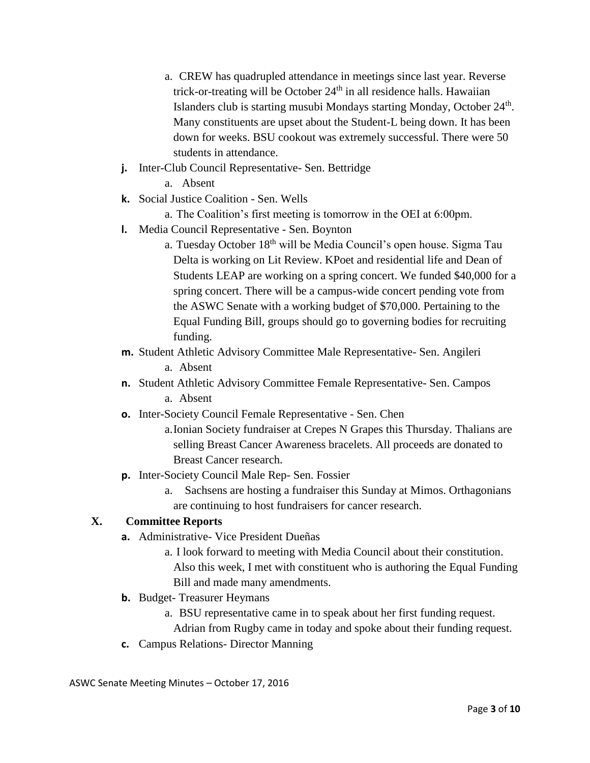- a. CREW has quadrupled attendance in meetings since last year. Reverse trick-or-treating will be October 24<sup>th</sup> in all residence halls. Hawaiian Islanders club is starting musubi Mondays starting Monday, October 24<sup>th</sup>. Many constituents are upset about the Student-L being down. It has been down for weeks. BSU cookout was extremely successful. There were 50 students in attendance.
- **j.** Inter-Club Council Representative- Sen. Bettridge
	- a. Absent
- **k.** Social Justice Coalition Sen. Wells
	- a. The Coalition's first meeting is tomorrow in the OEI at 6:00pm.
- **l.** Media Council Representative Sen. Boynton
	- a. Tuesday October 18<sup>th</sup> will be Media Council's open house. Sigma Tau Delta is working on Lit Review. KPoet and residential life and Dean of Students LEAP are working on a spring concert. We funded \$40,000 for a spring concert. There will be a campus-wide concert pending vote from the ASWC Senate with a working budget of \$70,000. Pertaining to the Equal Funding Bill, groups should go to governing bodies for recruiting funding.
- **m.** Student Athletic Advisory Committee Male Representative- Sen. Angileri a. Absent
- **n.** Student Athletic Advisory Committee Female Representative- Sen. Campos a. Absent
- **o.** Inter-Society Council Female Representative Sen. Chen
	- a.Ionian Society fundraiser at Crepes N Grapes this Thursday. Thalians are selling Breast Cancer Awareness bracelets. All proceeds are donated to Breast Cancer research.
- **p.** Inter-Society Council Male Rep- Sen. Fossier
	- a. Sachsens are hosting a fundraiser this Sunday at Mimos. Orthagonians are continuing to host fundraisers for cancer research.

### **X. Committee Reports**

- **a.** Administrative- Vice President Dueñas
	- a. I look forward to meeting with Media Council about their constitution. Also this week, I met with constituent who is authoring the Equal Funding Bill and made many amendments.
- **b.** Budget- Treasurer Heymans
	- a. BSU representative came in to speak about her first funding request.

Adrian from Rugby came in today and spoke about their funding request.

**c.** Campus Relations- Director Manning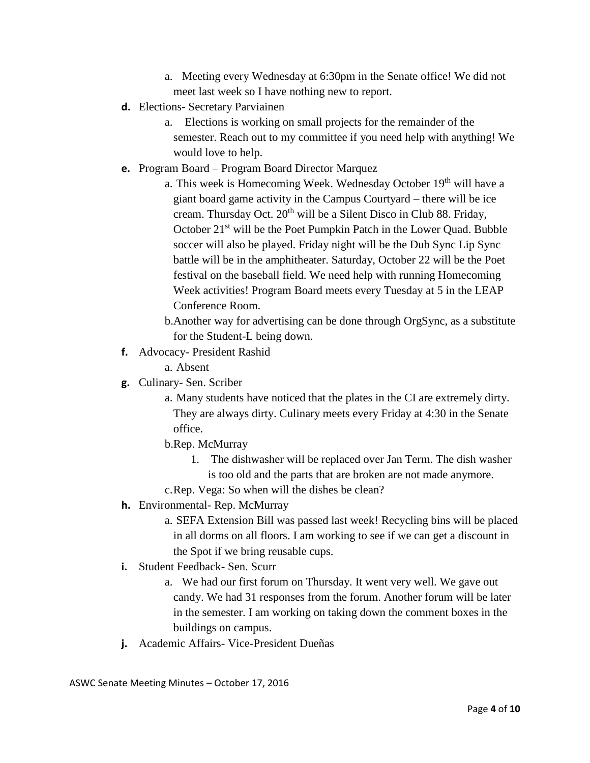- a. Meeting every Wednesday at 6:30pm in the Senate office! We did not meet last week so I have nothing new to report.
- **d.** Elections- Secretary Parviainen
	- a. Elections is working on small projects for the remainder of the semester. Reach out to my committee if you need help with anything! We would love to help.
- **e.** Program Board Program Board Director Marquez
	- a. This week is Homecoming Week. Wednesday October 19<sup>th</sup> will have a giant board game activity in the Campus Courtyard – there will be ice cream. Thursday Oct.  $20<sup>th</sup>$  will be a Silent Disco in Club 88. Friday, October 21<sup>st</sup> will be the Poet Pumpkin Patch in the Lower Quad. Bubble soccer will also be played. Friday night will be the Dub Sync Lip Sync battle will be in the amphitheater. Saturday, October 22 will be the Poet festival on the baseball field. We need help with running Homecoming Week activities! Program Board meets every Tuesday at 5 in the LEAP Conference Room.
	- b.Another way for advertising can be done through OrgSync, as a substitute for the Student-L being down.
- **f.** Advocacy- President Rashid

a. Absent

- **g.** Culinary- Sen. Scriber
	- a. Many students have noticed that the plates in the CI are extremely dirty. They are always dirty. Culinary meets every Friday at 4:30 in the Senate office.
	- b.Rep. McMurray
		- 1. The dishwasher will be replaced over Jan Term. The dish washer is too old and the parts that are broken are not made anymore.
	- c.Rep. Vega: So when will the dishes be clean?
- **h.** Environmental- Rep. McMurray
	- a. SEFA Extension Bill was passed last week! Recycling bins will be placed in all dorms on all floors. I am working to see if we can get a discount in the Spot if we bring reusable cups.
- **i.** Student Feedback- Sen. Scurr
	- a. We had our first forum on Thursday. It went very well. We gave out candy. We had 31 responses from the forum. Another forum will be later in the semester. I am working on taking down the comment boxes in the buildings on campus.
- **j.** Academic Affairs- Vice-President Dueñas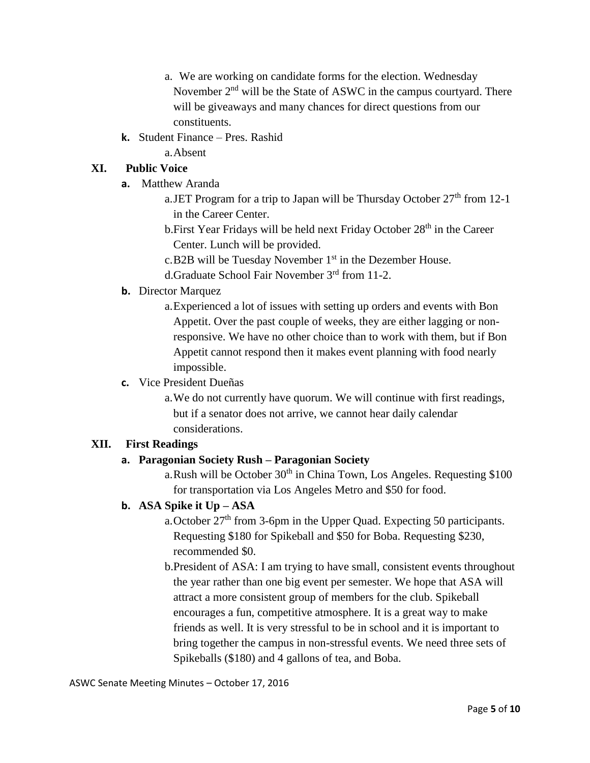- a. We are working on candidate forms for the election. Wednesday November  $2<sup>nd</sup>$  will be the State of ASWC in the campus courtyard. There will be giveaways and many chances for direct questions from our constituents.
- **k.** Student Finance Pres. Rashid

a.Absent

## **XI. Public Voice**

- **a.** Matthew Aranda
	- a.JET Program for a trip to Japan will be Thursday October  $27<sup>th</sup>$  from 12-1 in the Career Center.
	- b. First Year Fridays will be held next Friday October 28<sup>th</sup> in the Career Center. Lunch will be provided.
	- c.B2B will be Tuesday November 1<sup>st</sup> in the Dezember House.
	- d.Graduate School Fair November 3rd from 11-2.

### **b.** Director Marquez

a.Experienced a lot of issues with setting up orders and events with Bon Appetit. Over the past couple of weeks, they are either lagging or nonresponsive. We have no other choice than to work with them, but if Bon Appetit cannot respond then it makes event planning with food nearly impossible.

### **c.** Vice President Dueñas

a.We do not currently have quorum. We will continue with first readings, but if a senator does not arrive, we cannot hear daily calendar considerations.

### **XII. First Readings**

# **a. Paragonian Society Rush – Paragonian Society**

a. Rush will be October  $30<sup>th</sup>$  in China Town, Los Angeles. Requesting \$100 for transportation via Los Angeles Metro and \$50 for food.

# **b. ASA Spike it Up – ASA**

a. October 27<sup>th</sup> from 3-6pm in the Upper Quad. Expecting 50 participants. Requesting \$180 for Spikeball and \$50 for Boba. Requesting \$230, recommended \$0.

b.President of ASA: I am trying to have small, consistent events throughout the year rather than one big event per semester. We hope that ASA will attract a more consistent group of members for the club. Spikeball encourages a fun, competitive atmosphere. It is a great way to make friends as well. It is very stressful to be in school and it is important to bring together the campus in non-stressful events. We need three sets of Spikeballs (\$180) and 4 gallons of tea, and Boba.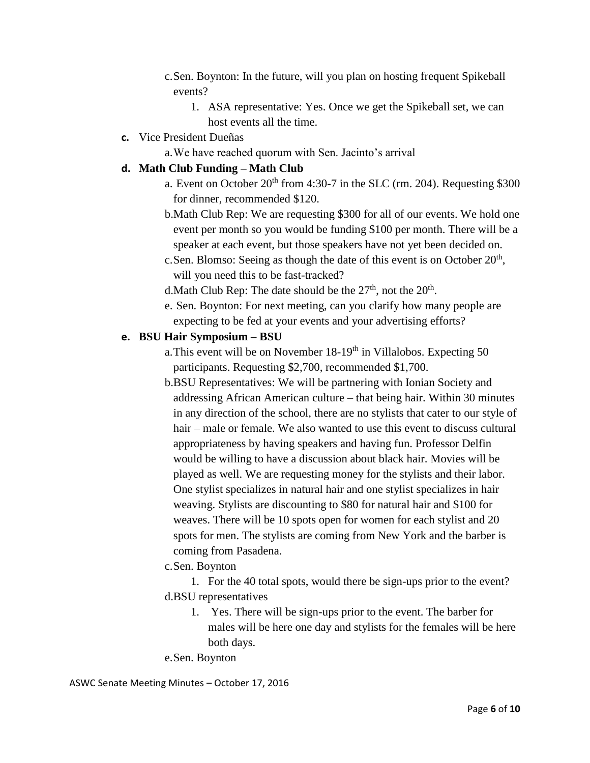- c.Sen. Boynton: In the future, will you plan on hosting frequent Spikeball events?
	- 1. ASA representative: Yes. Once we get the Spikeball set, we can host events all the time.
- **c.** Vice President Dueñas
	- a.We have reached quorum with Sen. Jacinto's arrival

#### **d. Math Club Funding – Math Club**

- a. Event on October  $20<sup>th</sup>$  from 4:30-7 in the SLC (rm. 204). Requesting \$300 for dinner, recommended \$120.
- b.Math Club Rep: We are requesting \$300 for all of our events. We hold one event per month so you would be funding \$100 per month. There will be a speaker at each event, but those speakers have not yet been decided on.
- c. Sen. Blomso: Seeing as though the date of this event is on October  $20<sup>th</sup>$ , will you need this to be fast-tracked?
- d. Math Club Rep: The date should be the  $27<sup>th</sup>$ , not the  $20<sup>th</sup>$ .
- e. Sen. Boynton: For next meeting, can you clarify how many people are expecting to be fed at your events and your advertising efforts?

#### **e. BSU Hair Symposium – BSU**

- a. This event will be on November  $18-19<sup>th</sup>$  in Villalobos. Expecting 50 participants. Requesting \$2,700, recommended \$1,700.
- b.BSU Representatives: We will be partnering with Ionian Society and addressing African American culture – that being hair. Within 30 minutes in any direction of the school, there are no stylists that cater to our style of hair – male or female. We also wanted to use this event to discuss cultural appropriateness by having speakers and having fun. Professor Delfin would be willing to have a discussion about black hair. Movies will be played as well. We are requesting money for the stylists and their labor. One stylist specializes in natural hair and one stylist specializes in hair weaving. Stylists are discounting to \$80 for natural hair and \$100 for weaves. There will be 10 spots open for women for each stylist and 20 spots for men. The stylists are coming from New York and the barber is coming from Pasadena.
- c.Sen. Boynton

1. For the 40 total spots, would there be sign-ups prior to the event? d.BSU representatives

1. Yes. There will be sign-ups prior to the event. The barber for males will be here one day and stylists for the females will be here both days.

e.Sen. Boynton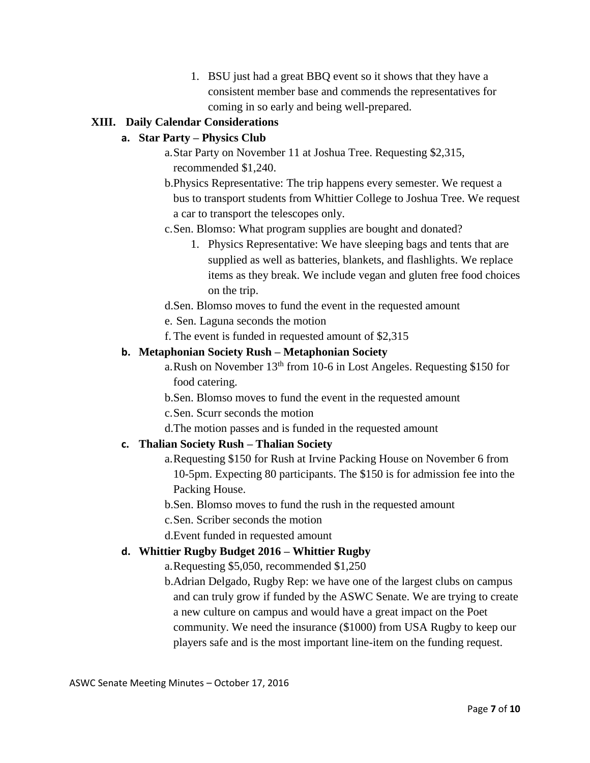1. BSU just had a great BBQ event so it shows that they have a consistent member base and commends the representatives for coming in so early and being well-prepared.

### **XIII. Daily Calendar Considerations**

### **a. Star Party – Physics Club**

- a.Star Party on November 11 at Joshua Tree. Requesting \$2,315, recommended \$1,240.
- b.Physics Representative: The trip happens every semester. We request a bus to transport students from Whittier College to Joshua Tree. We request a car to transport the telescopes only.
- c.Sen. Blomso: What program supplies are bought and donated?
	- 1. Physics Representative: We have sleeping bags and tents that are supplied as well as batteries, blankets, and flashlights. We replace items as they break. We include vegan and gluten free food choices on the trip.
- d.Sen. Blomso moves to fund the event in the requested amount
- e. Sen. Laguna seconds the motion
- f. The event is funded in requested amount of \$2,315

### **b. Metaphonian Society Rush – Metaphonian Society**

- a. Rush on November  $13<sup>th</sup>$  from 10-6 in Lost Angeles. Requesting \$150 for food catering.
- b.Sen. Blomso moves to fund the event in the requested amount
- c.Sen. Scurr seconds the motion
- d.The motion passes and is funded in the requested amount

### **c. Thalian Society Rush – Thalian Society**

- a.Requesting \$150 for Rush at Irvine Packing House on November 6 from 10-5pm. Expecting 80 participants. The \$150 is for admission fee into the Packing House.
- b.Sen. Blomso moves to fund the rush in the requested amount
- c.Sen. Scriber seconds the motion
- d.Event funded in requested amount

### **d. Whittier Rugby Budget 2016 – Whittier Rugby**

a.Requesting \$5,050, recommended \$1,250

b.Adrian Delgado, Rugby Rep: we have one of the largest clubs on campus and can truly grow if funded by the ASWC Senate. We are trying to create a new culture on campus and would have a great impact on the Poet community. We need the insurance (\$1000) from USA Rugby to keep our players safe and is the most important line-item on the funding request.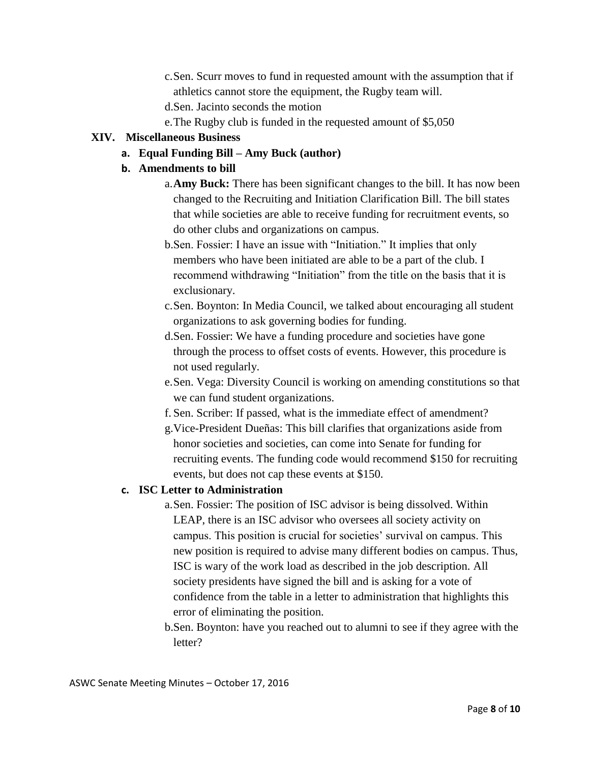- c.Sen. Scurr moves to fund in requested amount with the assumption that if athletics cannot store the equipment, the Rugby team will.
- d.Sen. Jacinto seconds the motion
- e.The Rugby club is funded in the requested amount of \$5,050

#### **XIV. Miscellaneous Business**

**a. Equal Funding Bill – Amy Buck (author)**

#### **b. Amendments to bill**

- a.**Amy Buck:** There has been significant changes to the bill. It has now been changed to the Recruiting and Initiation Clarification Bill. The bill states that while societies are able to receive funding for recruitment events, so do other clubs and organizations on campus.
- b.Sen. Fossier: I have an issue with "Initiation." It implies that only members who have been initiated are able to be a part of the club. I recommend withdrawing "Initiation" from the title on the basis that it is exclusionary.
- c.Sen. Boynton: In Media Council, we talked about encouraging all student organizations to ask governing bodies for funding.
- d.Sen. Fossier: We have a funding procedure and societies have gone through the process to offset costs of events. However, this procedure is not used regularly.
- e.Sen. Vega: Diversity Council is working on amending constitutions so that we can fund student organizations.
- f. Sen. Scriber: If passed, what is the immediate effect of amendment?
- g.Vice-President Dueñas: This bill clarifies that organizations aside from honor societies and societies, can come into Senate for funding for recruiting events. The funding code would recommend \$150 for recruiting events, but does not cap these events at \$150.

#### **c. ISC Letter to Administration**

- a.Sen. Fossier: The position of ISC advisor is being dissolved. Within LEAP, there is an ISC advisor who oversees all society activity on campus. This position is crucial for societies' survival on campus. This new position is required to advise many different bodies on campus. Thus, ISC is wary of the work load as described in the job description. All society presidents have signed the bill and is asking for a vote of confidence from the table in a letter to administration that highlights this error of eliminating the position.
- b.Sen. Boynton: have you reached out to alumni to see if they agree with the letter?